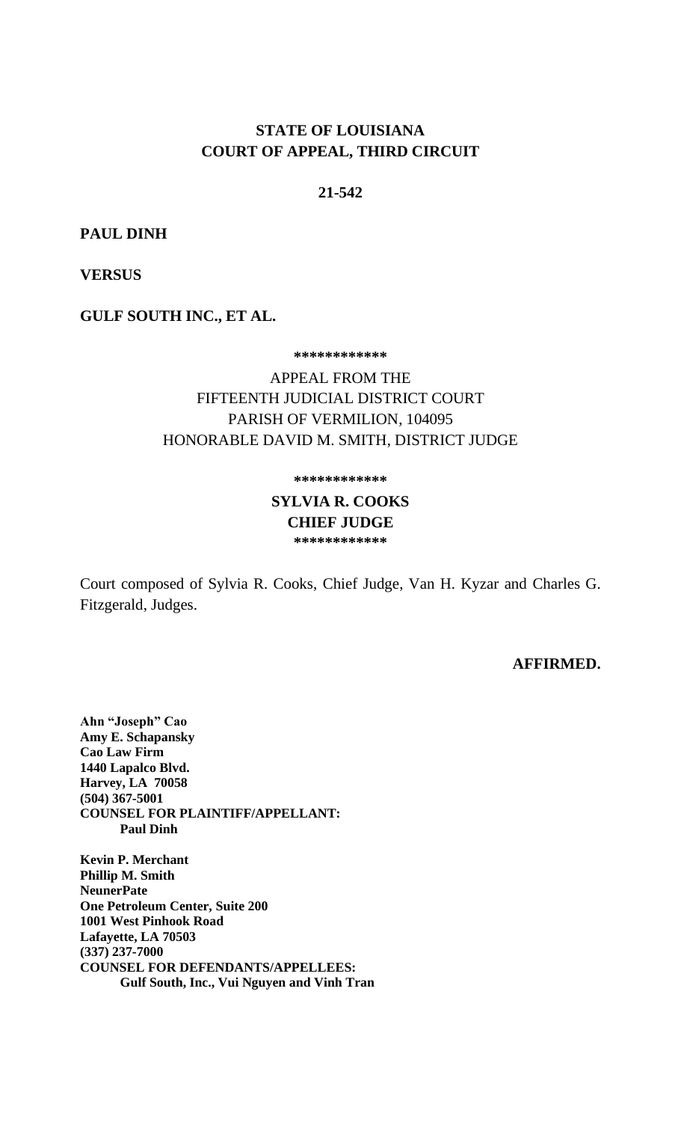# **STATE OF LOUISIANA COURT OF APPEAL, THIRD CIRCUIT**

#### **21-542**

**PAUL DINH**

**VERSUS**

**GULF SOUTH INC., ET AL.**

**\*\*\*\*\*\*\*\*\*\*\*\***

APPEAL FROM THE FIFTEENTH JUDICIAL DISTRICT COURT PARISH OF VERMILION, 104095 HONORABLE DAVID M. SMITH, DISTRICT JUDGE

**\*\*\*\*\*\*\*\*\*\*\*\***

**SYLVIA R. COOKS CHIEF JUDGE \*\*\*\*\*\*\*\*\*\*\*\***

Court composed of Sylvia R. Cooks, Chief Judge, Van H. Kyzar and Charles G. Fitzgerald, Judges.

**AFFIRMED.** 

**Ahn "Joseph" Cao Amy E. Schapansky Cao Law Firm 1440 Lapalco Blvd. Harvey, LA 70058 (504) 367-5001 COUNSEL FOR PLAINTIFF/APPELLANT: Paul Dinh**

**Kevin P. Merchant Phillip M. Smith NeunerPate One Petroleum Center, Suite 200 1001 West Pinhook Road Lafayette, LA 70503 (337) 237-7000 COUNSEL FOR DEFENDANTS/APPELLEES: Gulf South, Inc., Vui Nguyen and Vinh Tran**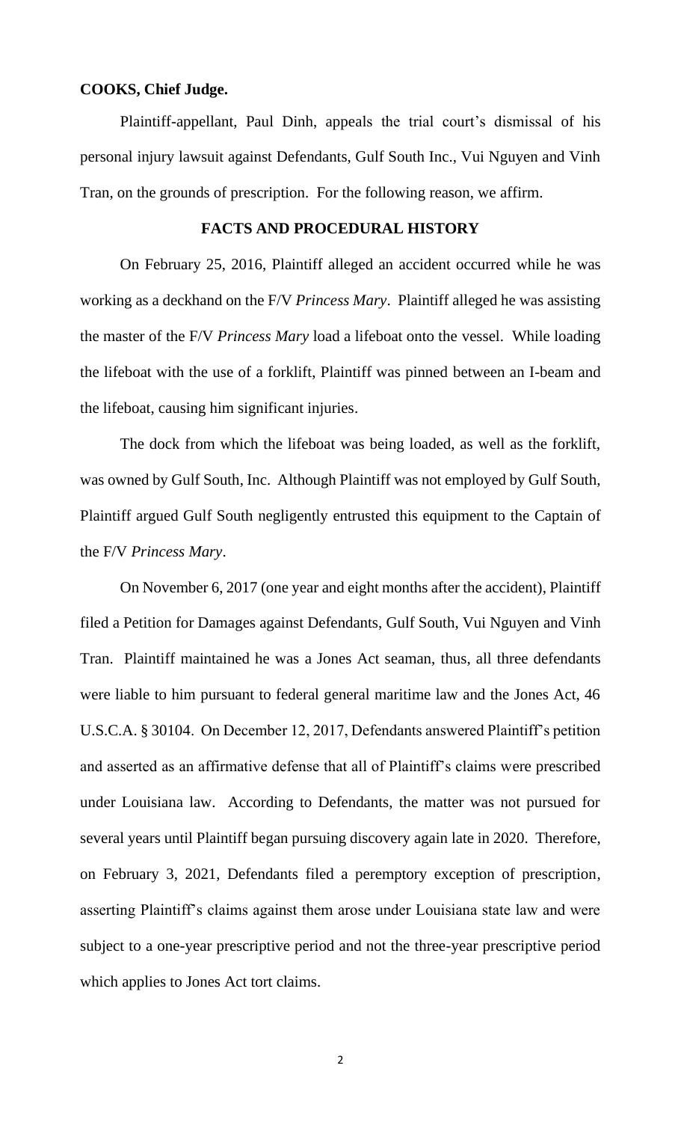### **COOKS, Chief Judge.**

Plaintiff-appellant, Paul Dinh, appeals the trial court's dismissal of his personal injury lawsuit against Defendants, Gulf South Inc., Vui Nguyen and Vinh Tran, on the grounds of prescription. For the following reason, we affirm.

#### **FACTS AND PROCEDURAL HISTORY**

On February 25, 2016, Plaintiff alleged an accident occurred while he was working as a deckhand on the F/V *Princess Mary*. Plaintiff alleged he was assisting the master of the F/V *Princess Mary* load a lifeboat onto the vessel. While loading the lifeboat with the use of a forklift, Plaintiff was pinned between an I-beam and the lifeboat, causing him significant injuries.

The dock from which the lifeboat was being loaded, as well as the forklift, was owned by Gulf South, Inc. Although Plaintiff was not employed by Gulf South, Plaintiff argued Gulf South negligently entrusted this equipment to the Captain of the F/V *Princess Mary*.

On November 6, 2017 (one year and eight months after the accident), Plaintiff filed a Petition for Damages against Defendants, Gulf South, Vui Nguyen and Vinh Tran. Plaintiff maintained he was a Jones Act seaman, thus, all three defendants were liable to him pursuant to federal general maritime law and the Jones Act, 46 U.S.C.A. § 30104. On December 12, 2017, Defendants answered Plaintiff's petition and asserted as an affirmative defense that all of Plaintiff's claims were prescribed under Louisiana law. According to Defendants, the matter was not pursued for several years until Plaintiff began pursuing discovery again late in 2020. Therefore, on February 3, 2021, Defendants filed a peremptory exception of prescription, asserting Plaintiff's claims against them arose under Louisiana state law and were subject to a one-year prescriptive period and not the three-year prescriptive period which applies to Jones Act tort claims.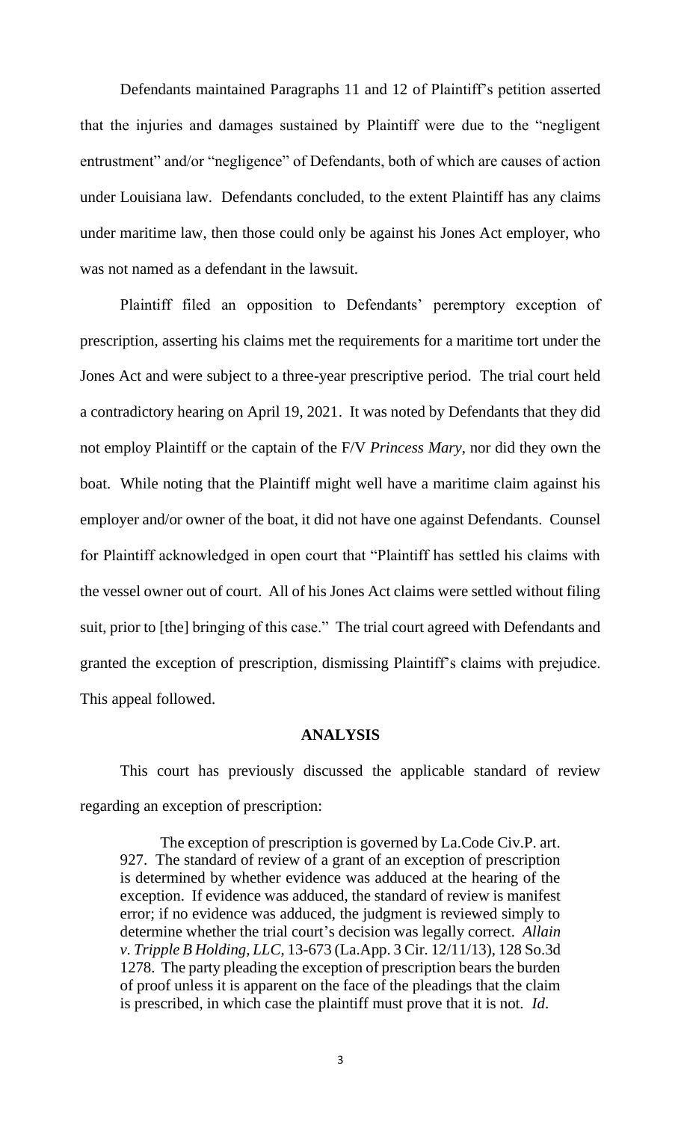Defendants maintained Paragraphs 11 and 12 of Plaintiff's petition asserted that the injuries and damages sustained by Plaintiff were due to the "negligent entrustment" and/or "negligence" of Defendants, both of which are causes of action under Louisiana law. Defendants concluded, to the extent Plaintiff has any claims under maritime law, then those could only be against his Jones Act employer, who was not named as a defendant in the lawsuit.

Plaintiff filed an opposition to Defendants' peremptory exception of prescription, asserting his claims met the requirements for a maritime tort under the Jones Act and were subject to a three-year prescriptive period. The trial court held a contradictory hearing on April 19, 2021. It was noted by Defendants that they did not employ Plaintiff or the captain of the F/V *Princess Mary*, nor did they own the boat. While noting that the Plaintiff might well have a maritime claim against his employer and/or owner of the boat, it did not have one against Defendants. Counsel for Plaintiff acknowledged in open court that "Plaintiff has settled his claims with the vessel owner out of court. All of his Jones Act claims were settled without filing suit, prior to [the] bringing of this case." The trial court agreed with Defendants and granted the exception of prescription, dismissing Plaintiff's claims with prejudice. This appeal followed.

#### **ANALYSIS**

This court has previously discussed the applicable standard of review regarding an exception of prescription:

The exception of prescription is governed by La.Code Civ.P. art. 927. The standard of review of a grant of an exception of prescription is determined by whether evidence was adduced at the hearing of the exception. If evidence was adduced, the standard of review is manifest error; if no evidence was adduced, the judgment is reviewed simply to determine whether the trial court's decision was legally correct. *Allain v. Tripple B Holding, LLC*, 13-673 (La.App. 3 Cir. 12/11/13), 128 So.3d 1278. The party pleading the exception of prescription bears the burden of proof unless it is apparent on the face of the pleadings that the claim is prescribed, in which case the plaintiff must prove that it is not. *Id*.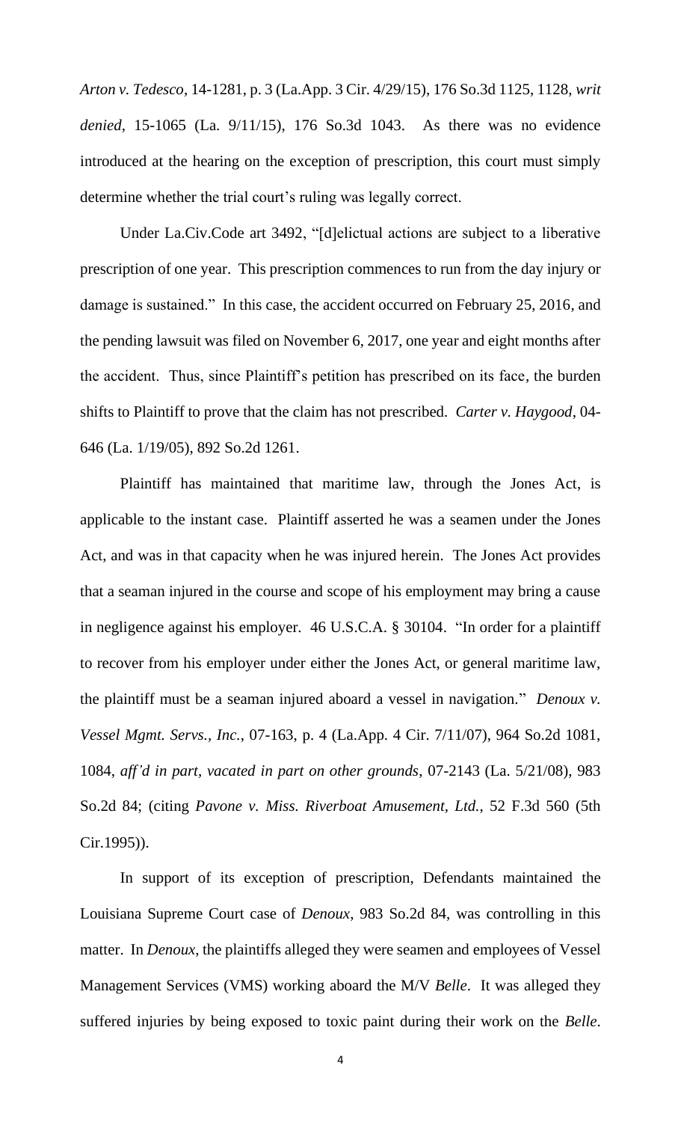*Arton v. Tedesco*, 14-1281, p. 3 (La.App. 3 Cir. 4/29/15), 176 So.3d 1125, 1128, *writ denied*, 15-1065 (La. 9/11/15), 176 So.3d 1043. As there was no evidence introduced at the hearing on the exception of prescription, this court must simply determine whether the trial court's ruling was legally correct.

Under La.Civ.Code art 3492, "[d]elictual actions are subject to a liberative prescription of one year. This prescription commences to run from the day injury or damage is sustained." In this case, the accident occurred on February 25, 2016, and the pending lawsuit was filed on November 6, 2017, one year and eight months after the accident. Thus, since Plaintiff's petition has prescribed on its face, the burden shifts to Plaintiff to prove that the claim has not prescribed. *Carter v. Haygood*, 04- 646 (La. 1/19/05), 892 So.2d 1261.

Plaintiff has maintained that maritime law, through the Jones Act, is applicable to the instant case. Plaintiff asserted he was a seamen under the Jones Act, and was in that capacity when he was injured herein. The Jones Act provides that a seaman injured in the course and scope of his employment may bring a cause in negligence against his employer. 46 U.S.C.A. § 30104. "In order for a plaintiff to recover from his employer under either the Jones Act, or general maritime law, the plaintiff must be a seaman injured aboard a vessel in navigation." *Denoux v. Vessel Mgmt. Servs., Inc.*, 07-163, p. 4 (La.App. 4 Cir. 7/11/07), 964 So.2d 1081, 1084, *aff'd in part, vacated in part on other grounds*, 07-2143 (La. 5/21/08), 983 So.2d 84; (citing *Pavone v. Miss. Riverboat Amusement, Ltd.*, 52 F.3d 560 (5th Cir.1995)).

In support of its exception of prescription, Defendants maintained the Louisiana Supreme Court case of *Denoux*, 983 So.2d 84, was controlling in this matter. In *Denoux*, the plaintiffs alleged they were seamen and employees of Vessel Management Services (VMS) working aboard the M/V *Belle*. It was alleged they suffered injuries by being exposed to toxic paint during their work on the *Belle*.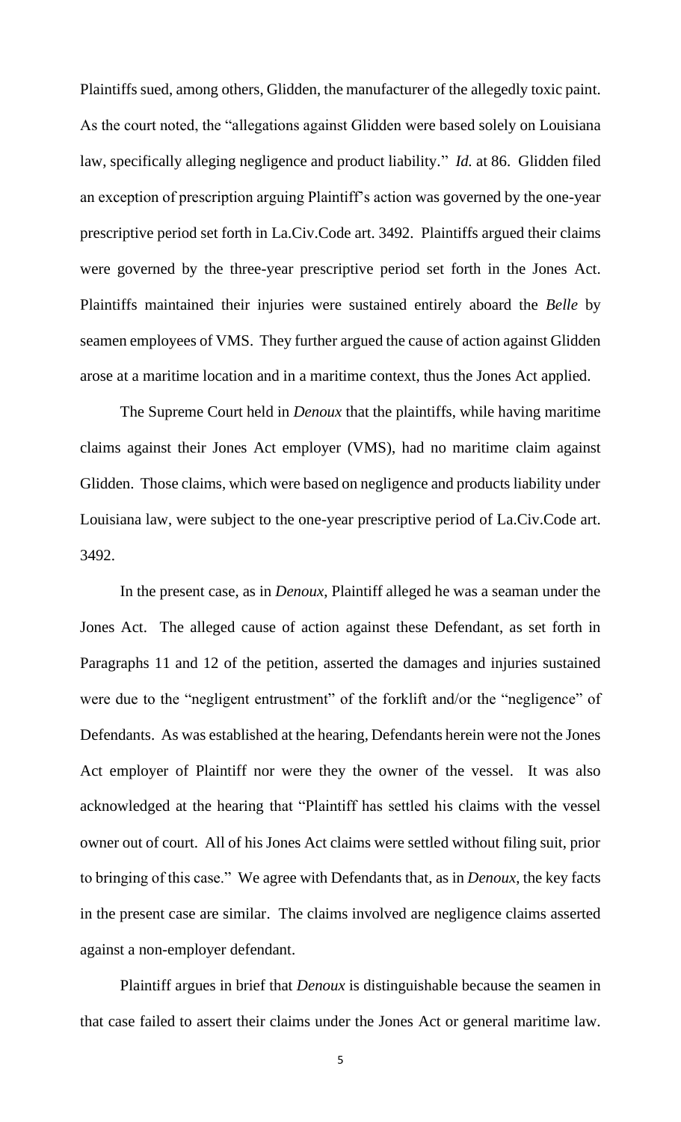Plaintiffs sued, among others, Glidden, the manufacturer of the allegedly toxic paint. As the court noted, the "allegations against Glidden were based solely on Louisiana law, specifically alleging negligence and product liability." *Id.* at 86. Glidden filed an exception of prescription arguing Plaintiff's action was governed by the one-year prescriptive period set forth in La.Civ.Code art. 3492. Plaintiffs argued their claims were governed by the three-year prescriptive period set forth in the Jones Act. Plaintiffs maintained their injuries were sustained entirely aboard the *Belle* by seamen employees of VMS. They further argued the cause of action against Glidden arose at a maritime location and in a maritime context, thus the Jones Act applied.

The Supreme Court held in *Denoux* that the plaintiffs, while having maritime claims against their Jones Act employer (VMS), had no maritime claim against Glidden. Those claims, which were based on negligence and products liability under Louisiana law, were subject to the one-year prescriptive period of La.Civ.Code art. 3492.

In the present case, as in *Denoux*, Plaintiff alleged he was a seaman under the Jones Act. The alleged cause of action against these Defendant, as set forth in Paragraphs 11 and 12 of the petition, asserted the damages and injuries sustained were due to the "negligent entrustment" of the forklift and/or the "negligence" of Defendants. As was established at the hearing, Defendants herein were not the Jones Act employer of Plaintiff nor were they the owner of the vessel. It was also acknowledged at the hearing that "Plaintiff has settled his claims with the vessel owner out of court. All of his Jones Act claims were settled without filing suit, prior to bringing of this case." We agree with Defendants that, as in *Denoux*, the key facts in the present case are similar. The claims involved are negligence claims asserted against a non-employer defendant.

Plaintiff argues in brief that *Denoux* is distinguishable because the seamen in that case failed to assert their claims under the Jones Act or general maritime law.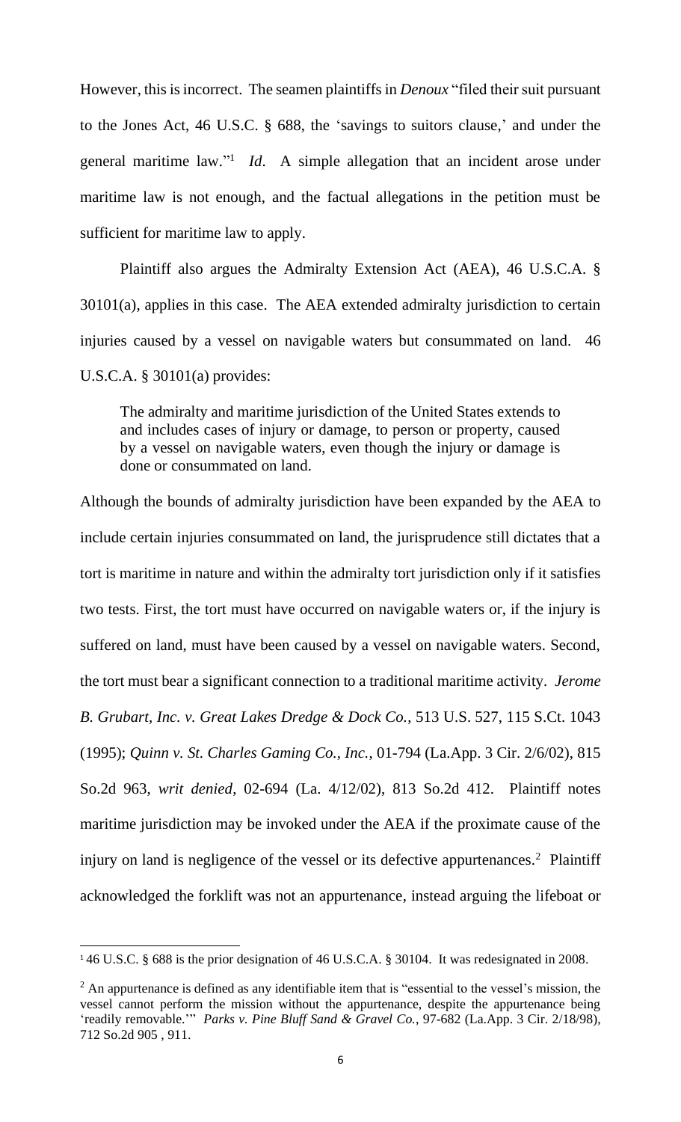However, this is incorrect. The seamen plaintiffs in *Denoux* "filed their suit pursuant to the Jones Act, 46 U.S.C. § 688, the 'savings to suitors clause,' and under the general maritime law."<sup>1</sup> *Id*. A simple allegation that an incident arose under maritime law is not enough, and the factual allegations in the petition must be sufficient for maritime law to apply.

Plaintiff also argues the Admiralty Extension Act (AEA), 46 U.S.C.A. § 30101(a), applies in this case. The AEA extended admiralty jurisdiction to certain injuries caused by a vessel on navigable waters but consummated on land. 46 U.S.C.A. § 30101(a) provides:

The admiralty and maritime jurisdiction of the United States extends to and includes cases of injury or damage, to person or property, caused by a vessel on navigable waters, even though the injury or damage is done or consummated on land.

Although the bounds of admiralty jurisdiction have been expanded by the AEA to include certain injuries consummated on land, the jurisprudence still dictates that a tort is maritime in nature and within the admiralty tort jurisdiction only if it satisfies two tests. First, the tort must have occurred on navigable waters or, if the injury is suffered on land, must have been caused by a vessel on navigable waters. Second, the tort must bear a significant connection to a traditional maritime activity. *Jerome B. Grubart, Inc. v. Great Lakes Dredge & Dock Co.*, 513 U.S. 527, 115 S.Ct. 1043 (1995); *Quinn v. St. Charles Gaming Co., Inc.*, 01-794 (La.App. 3 Cir. 2/6/02), 815 So.2d 963, *writ denied*, 02-694 (La. 4/12/02), 813 So.2d 412. Plaintiff notes maritime jurisdiction may be invoked under the AEA if the proximate cause of the injury on land is negligence of the vessel or its defective appurtenances.<sup>2</sup> Plaintiff acknowledged the forklift was not an appurtenance, instead arguing the lifeboat or

<sup>1</sup> 46 U.S.C. § 688 is the prior designation of 46 U.S.C.A. § 30104. It was redesignated in 2008.

 $2$  An appurtenance is defined as any identifiable item that is "essential to the vessel's mission, the vessel cannot perform the mission without the appurtenance, despite the appurtenance being 'readily removable.'" *Parks v. Pine Bluff Sand & Gravel Co.*, 97-682 (La.App. 3 Cir. 2/18/98), 712 So.2d 905 , 911.